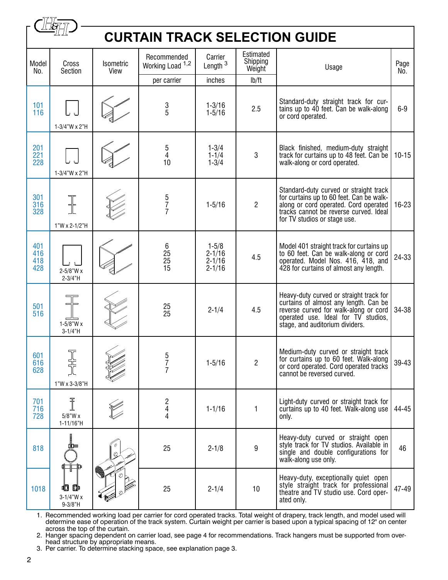|                          | <b>CURTAIN TRACK SELECTION GUIDE</b>   |                   |                                 |                                                     |                                 |                                                                                                                                                                                                       |             |  |  |  |  |  |
|--------------------------|----------------------------------------|-------------------|---------------------------------|-----------------------------------------------------|---------------------------------|-------------------------------------------------------------------------------------------------------------------------------------------------------------------------------------------------------|-------------|--|--|--|--|--|
| Model<br>No.             | Cross<br>Section                       | Isometric<br>View | Recommended<br>Working Load 1,2 | Carrier<br>Length $3$                               | Estimated<br>Shipping<br>Weight | Usage                                                                                                                                                                                                 | Page<br>No. |  |  |  |  |  |
|                          |                                        |                   | per carrier                     | inches                                              | lb/ft                           |                                                                                                                                                                                                       |             |  |  |  |  |  |
| 101<br>116               | 1-3/4"W x 2"H                          |                   | $\frac{3}{5}$                   | $1 - 3/16$<br>$1 - 5/16$                            | 2.5                             | Standard-duty straight track for cur-<br>tains up to 40 feet. Can be walk-along<br>or cord operated.                                                                                                  |             |  |  |  |  |  |
| 201<br>221<br>228        | 1-3/4"W x 2"H                          |                   | $\frac{5}{4}$<br>10             | $1 - 3/4$<br>$1 - 1/4$<br>$1 - 3/4$                 | 3                               | Black finished, medium-duty straight<br>track for curtains up to 48 feet. Can be<br>$10 - 15$<br>walk-along or cord operated.                                                                         |             |  |  |  |  |  |
| 301<br>316<br>328        | ╬<br>1"W x 2-1/2"H                     |                   | 5<br>7<br>7                     | $1 - 5/16$                                          | $\overline{2}$                  | Standard-duty curved or straight track<br>for curtains up to 60 feet. Can be walk-<br>along or cord operated. Cord operated<br>tracks cannot be reverse curved. Ideal<br>for TV studios or stage use. | $16 - 23$   |  |  |  |  |  |
| 401<br>416<br>418<br>428 | $2 - 5/8"$ W x<br>$2 - 3/4"H$          |                   | 6<br>25<br>25<br>15             | $1 - 5/8$<br>$2 - 1/16$<br>$2 - 1/16$<br>$2 - 1/16$ | 4.5                             | Model 401 straight track for curtains up<br>to 60 feet. Can be walk-along or cord<br>operated. Model Nos. 416, 418, and<br>428 for curtains of almost any length.                                     | 24-33       |  |  |  |  |  |
| 501<br>516               | $1 - 5/8$ "W x<br>$3 - 1/4$ "H         |                   | 25<br>25                        | $2 - 1/4$                                           | 4.5                             | Heavy-duty curved or straight track for<br>curtains of almost any length. Can be<br>reverse curved for walk-along or cord<br>operated use. Ideal for TV studios,<br>stage, and auditorium dividers.   | 34-38       |  |  |  |  |  |
| 601<br>616<br>628        | 1"W x 3-3/8"H                          |                   | 5<br>7<br>7                     | $1 - 5/16$                                          | $\overline{2}$                  | Medium-duty curved or straight track<br>for curtains up to 60 feet. Walk-along<br>or cord operated. Cord operated tracks<br>cannot be reversed curved.                                                | 39-43       |  |  |  |  |  |
| 701<br>716<br>728        | Ī<br>$5/8$ "W x<br>$1 - 11/16"$ H      |                   | $\frac{2}{4}$<br>4              | $1 - 1/16$                                          | 1                               | Light-duty curved or straight track for<br>curtains up to 40 feet. Walk-along use<br>only.                                                                                                            | 44-45       |  |  |  |  |  |
| 818                      |                                        |                   | 25                              | $2 - 1/8$                                           | $\boldsymbol{9}$                | Heavy-duty curved or straight open<br>style track for TV studios. Available in<br>single and double configurations for<br>walk-along use only.                                                        | 46          |  |  |  |  |  |
| 1018                     | 卧<br>崓<br>$3-1/4$ "W x<br>$9 - 3/8"$ H |                   | 25                              | $2 - 1/4$                                           | 10                              | Heavy-duty, exceptionally quiet open<br>style straight track for professional<br>theatre and TV studio use. Cord oper-<br>ated only.                                                                  | 47-49       |  |  |  |  |  |

1. Recommended working load per carrier for cord operated tracks. Total weight of drapery, track length, and model used will determine ease of operation of the track system. Curtain weight per carrier is based upon a typical spacing of 12" on center across the top of the curtain.

2. Hanger spacing dependent on carrier load, see page 4 for recommendations. Track hangers must be supported from over head structure by appropriate means.

3. Per carrier. To determine stacking space, see explanation page 3.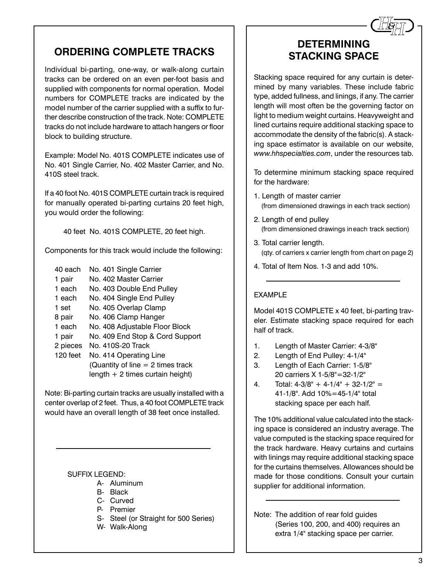# **ORDERING COMPLETE TRACKS**

Individual bi-parting, one-way, or walk-along curtain tracks can be ordered on an even per-foot basis and supplied with components for normal operation. Model numbers for COMPLETE tracks are indicated by the model number of the carrier supplied with a suffix to further describe construction of the track. Note: COMPLETE tracks do not include hardware to attach hangers or floor block to building structure.

Example: Model No. 401S COMPLETE indicates use of No. 401 Single Carrier, No. 402 Master Carrier, and No. 410S steel track.

If a 40 foot No. 401S COMPLETE curtain track is required for manually operated bi-parting curtains 20 feet high, you would order the following:

40 feet No. 401S COMPLETE, 20 feet high.

Components for this track would include the following:

- 40 each No. 401 Single Carrier 1 pair No. 402 Master Carrier
- 1 each No. 403 Double End Pulley
- 1 each No. 404 Single End Pulley
- 1 set No. 405 Overlap Clamp
- 8 pair No. 406 Clamp Hanger
- 1 each No. 408 Adjustable Floor Block
- 1 pair No. 409 End Stop & Cord Support
- 2 pieces No. 410S-20 Track
- 120 feet No. 414 Operating Line (Quantity of line  $= 2$  times track length + 2 times curtain height)

Note: Bi-parting curtain tracks are usually installed with a center overlap of 2 feet. Thus, a 40 foot COMPLETE track would have an overall length of 38 feet once installed.

#### SUFFIX LEGEND:

- A- Aluminum
- B- Black
- C- Curved
- P- Premier
- S- Steel (or Straight for 500 Series)
- W- Walk-Along

## **DETERMINING STACKING SPACE**

*&*

Stacking space required for any curtain is determined by many variables. These include fabric type, added fullness, and linings, if any. The carrier length will most often be the governing factor on light to medium weight curtains. Heavyweight and lined curtains require additional stacking space to accommodate the density of the fabric(s). A stacking space estimator is available on our website, *www.hhspecialties.com*, under the resources tab.

To determine minimum stacking space required for the hardware:

- 1. Length of master carrier (from dimensioned drawings in each track section)
- 2. Length of end pulley (from dimensioned drawings ineach track section)
- 3. Total carrier length. (qty. of carriers x carrier length from chart on page 2)
- 4. Total of Item Nos. 1-3 and add 10%.

#### EXAMPLE

Model 401S COMPLETE x 40 feet, bi-parting traveler. Estimate stacking space required for each half of track.

- 1. Length of Master Carrier: 4-3/8"
- 2. Length of End Pulley: 4-1/4"
- 3. Length of Each Carrier: 1-5/8" 20 carriers X 1-5/8"=32-1/2"
- 4. Total:  $4-3/8$ " +  $4-1/4$ " +  $32-1/2$ " = 41-1/8". Add 10%=45-1/4" total stacking space per each half.

The 10% additional value calculated into the stacking space is considered an industry average. The value computed is the stacking space required for the track hardware. Heavy curtains and curtains with linings may require additional stacking space for the curtains themselves. Allowances should be made for those conditions. Consult your curtain supplier for additional information.

Note: The addition of rear fold guides (Series 100, 200, and 400) requires an extra 1/4" stacking space per carrier.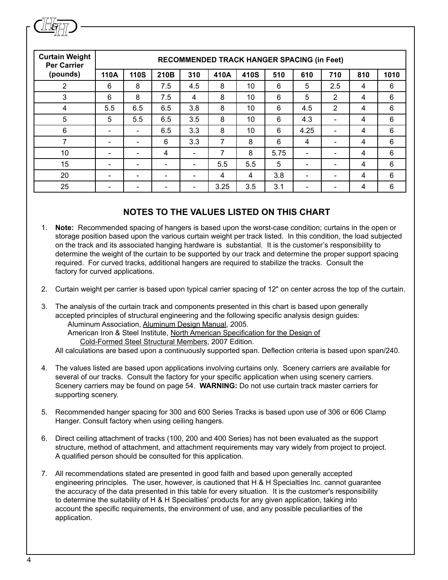| <b>Curtain Weight</b><br><b>Per Carrier</b> | <b>RECOMMENDED TRACK HANGER SPACING (in Feet)</b> |                          |                          |                          |      |      |      |      |                          |     |      |
|---------------------------------------------|---------------------------------------------------|--------------------------|--------------------------|--------------------------|------|------|------|------|--------------------------|-----|------|
| (pounds)                                    | 110A                                              | <b>110S</b>              | 210B                     | 310                      | 410A | 410S | 510  | 610  | 710                      | 810 | 1010 |
| 2                                           | 6                                                 | 8                        | 7.5                      | 4.5                      | 8    | 10   | 6    | 5    | $2.5\,$                  | 4   | 6    |
| 3                                           | 6                                                 | 8                        | 7.5                      | 4                        | 8    | 10   | 6    | 5    | 2                        | 4   | 6    |
| 4                                           | 5.5                                               | 6.5                      | 6.5                      | 3.8                      | 8    | 10   | 6    | 4.5  | 2                        | 4   | 6    |
| 5                                           | 5                                                 | 5.5                      | 6.5                      | 3.5                      | 8    | 10   | 6    | 4.3  | $\overline{\phantom{a}}$ | 4   | 6    |
| 6                                           | $\overline{\phantom{0}}$                          |                          | 6.5                      | 3.3                      | 8    | 10   | 6    | 4.25 | $\overline{\phantom{0}}$ | 4   | 6    |
| 7                                           | -                                                 | $\overline{\phantom{0}}$ | 6                        | 3.3                      | 7    | 8    | 6    | 4    | $\overline{\phantom{a}}$ | 4   | 6    |
| 10                                          | $\qquad \qquad \blacksquare$                      |                          | 4                        | $\overline{\phantom{0}}$ | 7    | 8    | 5.75 |      | -                        | 4   | 6    |
| 15                                          | -                                                 | $\overline{\phantom{0}}$ | $\overline{\phantom{a}}$ | -                        | 5.5  | 5.5  | 5    |      | $\overline{\phantom{a}}$ | 4   | 6    |
| 20                                          | $\overline{\phantom{0}}$                          | $\overline{\phantom{0}}$ | $\overline{\phantom{a}}$ | $\overline{\phantom{0}}$ | 4    | 4    | 3.8  |      | $\overline{\phantom{0}}$ | 4   | 6    |
| 25                                          |                                                   |                          |                          |                          | 3.25 | 3.5  | 3.1  |      |                          | 4   | 6    |

#### **NOTES TO THE VALUES LISTED ON THIS CHART**

- 1. **Note:** Recommended spacing of hangers is based upon the worst-case condition; curtains in the open or storage position based upon the various curtain weight per track listed. In this condition, the load subjected on the track and its associated hanging hardware is substantial. It is the customer's responsibility to determine the weight of the curtain to be supported by our track and determine the proper support spacing required. For curved tracks, additional hangers are required to stabilize the tracks. Consult the factory for curved applications.
- 2. Curtain weight per carrier is based upon typical carrier spacing of 12" on center across the top of the curtain.
- 3. The analysis of the curtain track and components presented in this chart is based upon generally accepted principles of structural engineering and the following specific analysis design guides: Aluminum Association, Aluminum Design Manual, 2005. American Iron & Steel Institute, North American Specification for the Design of Cold-Formed Steel Structural Members, 2007 Edition.
	- All calculations are based upon a continuously supported span. Deflection criteria is based upon span/240.
- 4. The values listed are based upon applications involving curtains only. Scenery carriers are available for several of our tracks. Consult the factory for your specific application when using scenery carriers. Scenery carriers may be found on page 54. **WARNING:** Do not use curtain track master carriers for supporting scenery.
- 5. Recommended hanger spacing for 300 and 600 Series Tracks is based upon use of 306 or 606 Clamp Hanger. Consult factory when using ceiling hangers.
- 6. Direct ceiling attachment of tracks (100, 200 and 400 Series) has not been evaluated as the support structure, method of attachment, and attachment requirements may vary widely from project to project. A qualified person should be consulted for this application.
- 7. All recommendations stated are presented in good faith and based upon generally accepted engineering principles. The user, however, is cautioned that H & H Specialties Inc. cannot guarantee the accuracy of the data presented in this table for every situation. It is the customer's responsibility to determine the suitability of H & H Specialties' products for any given application, taking into account the specific requirements, the environment of use, and any possible peculiarities of the application.

*&*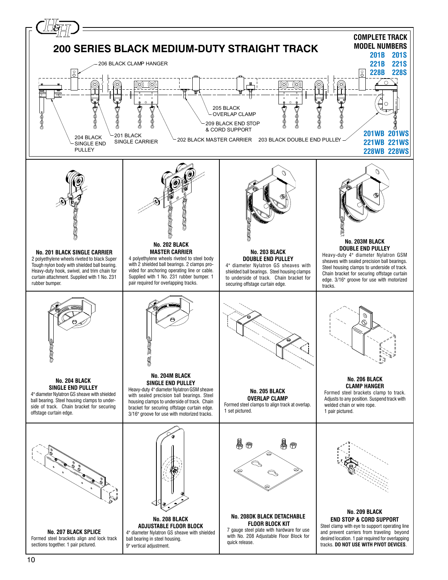<span id="page-3-0"></span>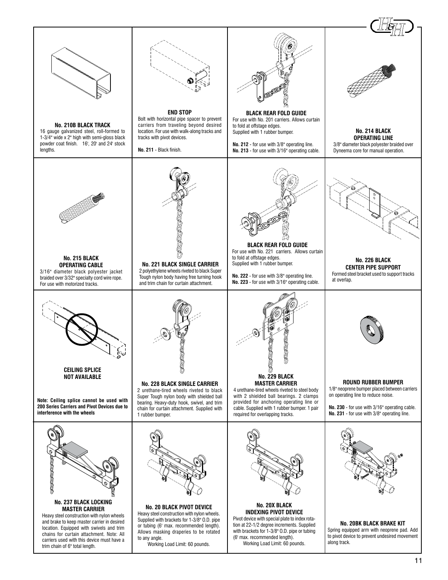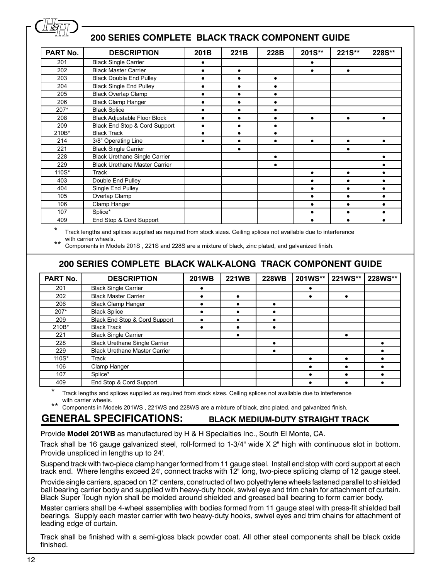

### **200 SERIES COMPLETE BLACK TRACK COMPONENT GUIDE**

| PART No. | <b>DESCRIPTION</b>                   | 201B      | 221B      | 228B      | 201S**    | 221S**    | 228S**    |
|----------|--------------------------------------|-----------|-----------|-----------|-----------|-----------|-----------|
| 201      | <b>Black Single Carrier</b>          |           |           |           |           |           |           |
| 202      | <b>Black Master Carrier</b>          | ٠         | ٠         |           | $\bullet$ | $\bullet$ |           |
| 203      | <b>Black Double End Pulley</b>       |           |           | $\bullet$ |           |           |           |
| 204      | <b>Black Single End Pulley</b>       |           | $\bullet$ | ٠         |           |           |           |
| 205      | <b>Black Overlap Clamp</b>           | ٠         | $\bullet$ | $\bullet$ |           |           |           |
| 206      | <b>Black Clamp Hanger</b>            | ٠         | $\bullet$ | $\bullet$ |           |           |           |
| $207*$   | <b>Black Splice</b>                  |           | $\bullet$ |           |           |           |           |
| 208      | <b>Black Adjustable Floor Block</b>  |           | $\bullet$ |           | $\bullet$ | $\bullet$ |           |
| 209      | Black End Stop & Cord Support        |           |           |           |           |           |           |
| 210B*    | <b>Black Track</b>                   | $\bullet$ | $\bullet$ | $\bullet$ |           |           |           |
| 214      | 3/8" Operating Line                  |           |           |           | $\bullet$ |           | $\bullet$ |
| 221      | <b>Black Single Carrier</b>          |           | $\bullet$ |           |           | $\bullet$ |           |
| 228      | <b>Black Urethane Single Carrier</b> |           |           | $\bullet$ |           |           | $\bullet$ |
| 229      | <b>Black Urethane Master Carrier</b> |           |           | $\bullet$ |           |           |           |
| 110S*    | Track                                |           |           |           | $\bullet$ | $\bullet$ |           |
| 403      | Double End Pulley                    |           |           |           |           | $\bullet$ | $\bullet$ |
| 404      | Single End Pulley                    |           |           |           |           | $\bullet$ | $\bullet$ |
| 105      | Overlap Clamp                        |           |           |           | $\bullet$ | $\bullet$ | $\bullet$ |
| 106      | Clamp Hanger                         |           |           |           | $\bullet$ | $\bullet$ | ٠         |
| 107      | Splice*                              |           |           |           |           |           |           |
| 409      | End Stop & Cord Support              |           |           |           | $\bullet$ | $\bullet$ | $\bullet$ |

Track lengths and splices supplied as required from stock sizes. Ceiling splices not available due to interference with carrier wheels.

Components in Models 201S, 221S and 228S are a mixture of black, zinc plated, and galvanized finish.

### **200 SERIES COMPLETE BLACK WALK-ALONG TRACK COMPONENT GUIDE**

| PART No. | <b>DESCRIPTION</b>                   | <b>201WB</b> | <b>221WB</b> | <b>228WB</b> | 201WS** | 221WS** | 228WS** |
|----------|--------------------------------------|--------------|--------------|--------------|---------|---------|---------|
| 201      | <b>Black Single Carrier</b>          |              |              |              |         |         |         |
| 202      | <b>Black Master Carrier</b>          |              | ٠            |              |         |         |         |
| 206      | <b>Black Clamp Hanger</b>            |              |              |              |         |         |         |
| 207*     | <b>Black Splice</b>                  |              |              | ٠            |         |         |         |
| 209      | Black End Stop & Cord Support        |              |              | ٠            |         |         |         |
| 210B*    | <b>Black Track</b>                   |              |              |              |         |         |         |
| 221      | <b>Black Single Carrier</b>          |              | ٠            |              |         |         |         |
| 228      | <b>Black Urethane Single Carrier</b> |              |              | ٠            |         |         |         |
| 229      | <b>Black Urethane Master Carrier</b> |              |              | ٠            |         |         |         |
| 110S*    | Track                                |              |              |              |         |         |         |
| 106      | Clamp Hanger                         |              |              |              |         |         |         |
| 107      | Splice*                              |              |              |              |         |         |         |
| 409      | End Stop & Cord Support              |              |              |              |         |         |         |

Track lengths and splices supplied as required from stock sizes. Ceiling splices not available due to interference with carrier wheels.

Components in Models 201WS , 221WS and 228WS are a mixture of black, zinc plated, and galvanized finish.

#### **GENERAL SPECIFICATIONS: BLACK MEDIUM-DUTY STRAIGHT TRACK**

Provide **Model 201WB** as manufactured by H & H Specialties Inc., South El Monte, CA.

Track shall be 16 gauge galvanized steel, roll-formed to 1-3/4" wide X 2" high with continuous slot in bottom. Provide unspliced in lengths up to 24'.

Suspend track with two-piece clamp hanger formed from 11 gauge steel. Install end stop with cord support at each track end. Where lengths exceed 24', connect tracks with 12" long, two-piece splicing clamp of 12 gauge steel.

Provide single carriers, spaced on 12" centers, constructed of two polyethylene wheels fastened parallel to shielded ball bearing carrier body and supplied with heavy-duty hook, swivel eye and trim chain for attachment of curtain. Black Super Tough nylon shall be molded around shielded and greased ball bearing to form carrier body.

Master carriers shall be 4-wheel assemblies with bodies formed from 11 gauge steel with press-fit shielded ball bearings. Supply each master carrier with two heavy-duty hooks, swivel eyes and trim chains for attachment of leading edge of curtain.

Track shall be finished with a semi-gloss black powder coat. All other steel components shall be black oxide finished.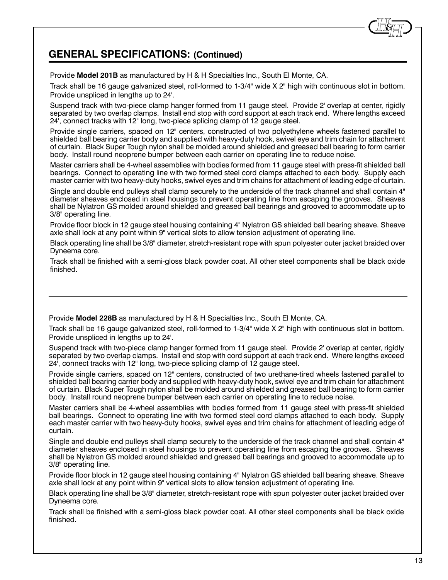### **GENERAL SPECIFICATIONS: (Continued)**

Provide **Model 201B** as manufactured by H & H Specialties Inc., South El Monte, CA.

Track shall be 16 gauge galvanized steel, roll-formed to 1-3/4" wide X 2" high with continuous slot in bottom. Provide unspliced in lengths up to 24'.

Suspend track with two-piece clamp hanger formed from 11 gauge steel. Provide 2' overlap at center, rigidly separated by two overlap clamps. Install end stop with cord support at each track end. Where lengths exceed 24', connect tracks with 12" long, two-piece splicing clamp of 12 gauge steel.

Provide single carriers, spaced on 12" centers, constructed of two polyethylene wheels fastened parallel to shielded ball bearing carrier body and supplied with heavy-duty hook, swivel eye and trim chain for attachment of curtain. Black Super Tough nylon shall be molded around shielded and greased ball bearing to form carrier body. Install round neoprene bumper between each carrier on operating line to reduce noise.

Master carriers shall be 4-wheel assemblies with bodies formed from 11 gauge steel with press-fit shielded ball bearings. Connect to operating line with two formed steel cord clamps attached to each body. Supply each master carrier with two heavy-duty hooks, swivel eyes and trim chains for attachment of leading edge of curtain.

Single and double end pulleys shall clamp securely to the underside of the track channel and shall contain 4" diameter sheaves enclosed in steel housings to prevent operating line from escaping the grooves. Sheaves shall be Nylatron GS molded around shielded and greased ball bearings and grooved to accommodate up to 3/8" operating line.

Provide floor block in 12 gauge steel housing containing 4" Nylatron GS shielded ball bearing sheave. Sheave axle shall lock at any point within 9" vertical slots to allow tension adjustment of operating line.

Black operating line shall be 3/8" diameter, stretch-resistant rope with spun polyester outer jacket braided over Dyneema core.

Track shall be finished with a semi-gloss black powder coat. All other steel components shall be black oxide finished.

Provide **Model 228B** as manufactured by H & H Specialties Inc., South El Monte, CA.

Track shall be 16 gauge galvanized steel, roll-formed to 1-3/4" wide X 2" high with continuous slot in bottom. Provide unspliced in lengths up to 24'.

Suspend track with two-piece clamp hanger formed from 11 gauge steel. Provide 2' overlap at center, rigidly separated by two overlap clamps. Install end stop with cord support at each track end. Where lengths exceed 24', connect tracks with 12" long, two-piece splicing clamp of 12 gauge steel.

Provide single carriers, spaced on 12" centers, constructed of two urethane-tired wheels fastened parallel to shielded ball bearing carrier body and supplied with heavy-duty hook, swivel eye and trim chain for attachment of curtain. Black Super Tough nylon shall be molded around shielded and greased ball bearing to form carrier body. Install round neoprene bumper between each carrier on operating line to reduce noise.

Master carriers shall be 4-wheel assemblies with bodies formed from 11 gauge steel with press-fit shielded ball bearings. Connect to operating line with two formed steel cord clamps attached to each body. Supply each master carrier with two heavy-duty hooks, swivel eyes and trim chains for attachment of leading edge of curtain.

Single and double end pulleys shall clamp securely to the underside of the track channel and shall contain 4" diameter sheaves enclosed in steel housings to prevent operating line from escaping the grooves. Sheaves shall be Nylatron GS molded around shielded and greased ball bearings and grooved to accommodate up to 3/8" operating line.

Provide floor block in 12 gauge steel housing containing 4" Nylatron GS shielded ball bearing sheave. Sheave axle shall lock at any point within 9" vertical slots to allow tension adjustment of operating line.

Black operating line shall be 3/8" diameter, stretch-resistant rope with spun polyester outer jacket braided over Dyneema core.

Track shall be finished with a semi-gloss black powder coat. All other steel components shall be black oxide finished.

*&*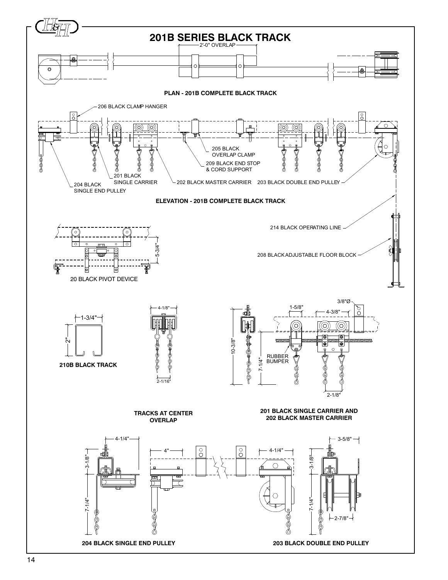